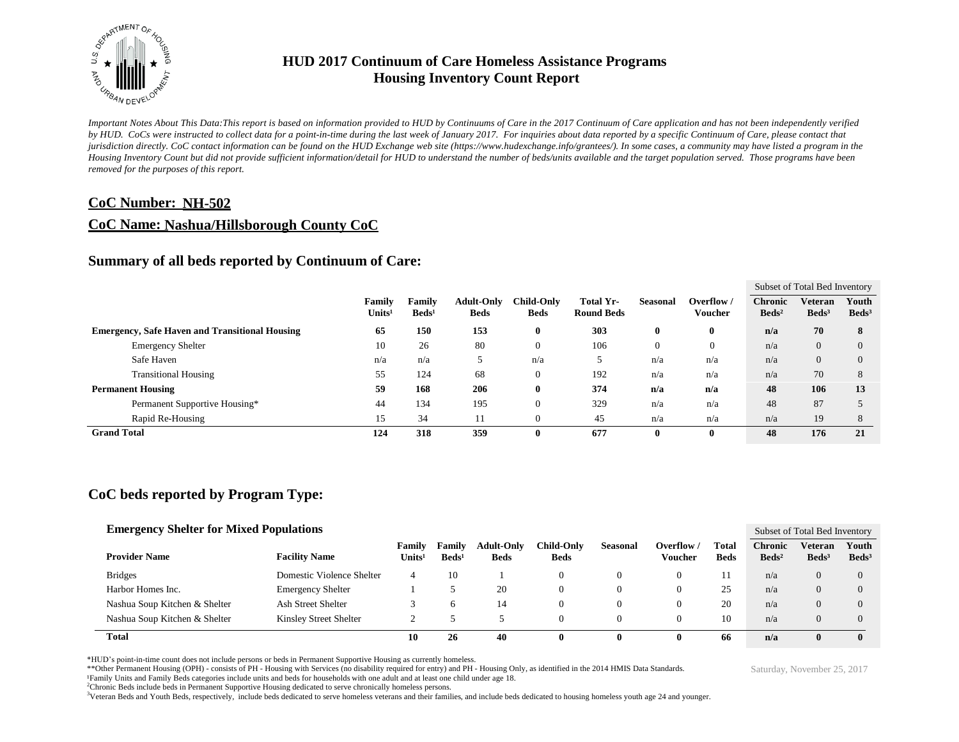

*Important Notes About This Data:This report is based on information provided to HUD by Continuums of Care in the 2017 Continuum of Care application and has not been independently verified by HUD. CoCs were instructed to collect data for a point-in-time during the last week of January 2017. For inquiries about data reported by a specific Continuum of Care, please contact that jurisdiction directly. CoC contact information can be found on the HUD Exchange web site (https://www.hudexchange.info/grantees/). In some cases, a community may have listed a program in the Housing Inventory Count but did not provide sufficient information/detail for HUD to understand the number of beds/units available and the target population served. Those programs have been removed for the purposes of this report.*

### **CoC Number: NH-502**

### **CoC Name: Nashua/Hillsborough County CoC**

### **Summary of all beds reported by Continuum of Care:**

|                                                       |                              |                           |                                  |                                  |                                |                 |                              | Subset of Total Bed Inventory     |                                     |                          |  |
|-------------------------------------------------------|------------------------------|---------------------------|----------------------------------|----------------------------------|--------------------------------|-----------------|------------------------------|-----------------------------------|-------------------------------------|--------------------------|--|
|                                                       | Family<br>Units <sup>1</sup> | Family<br>$\text{Beds}^1$ | <b>Adult-Only</b><br><b>Beds</b> | <b>Child-Only</b><br><b>Beds</b> | Total Yr-<br><b>Round Beds</b> | <b>Seasonal</b> | Overflow /<br><b>Voucher</b> | <b>Chronic</b><br>$\text{Beds}^2$ | <b>Veteran</b><br>Beds <sup>3</sup> | Youth<br>$\text{Beds}^3$ |  |
| <b>Emergency, Safe Haven and Transitional Housing</b> | 65                           | 150                       | 153                              | $\bf{0}$                         | 303                            | $\bf{0}$        | 0                            | n/a                               | 70                                  | 8                        |  |
| <b>Emergency Shelter</b>                              | 10                           | 26                        | 80                               | $\theta$                         | 106                            |                 | $\theta$                     | n/a                               | $\overline{0}$                      | $\Omega$                 |  |
| Safe Haven                                            | n/a                          | n/a                       |                                  | n/a                              |                                | n/a             | n/a                          | n/a                               | $\overline{0}$                      | $\Omega$                 |  |
| <b>Transitional Housing</b>                           | 55                           | 124                       | 68                               | $\theta$                         | 192                            | n/a             | n/a                          | n/a                               | 70                                  | 8                        |  |
| <b>Permanent Housing</b>                              | 59                           | 168                       | 206                              | $\bf{0}$                         | 374                            | n/a             | n/a                          | 48                                | 106                                 | 13                       |  |
| Permanent Supportive Housing*                         | 44                           | 134                       | 195                              | $\mathbf{0}$                     | 329                            | n/a             | n/a                          | 48                                | 87                                  |                          |  |
| Rapid Re-Housing                                      | 15                           | 34                        | 11                               | $\mathbf{0}$                     | 45                             | n/a             | n/a                          | n/a                               | 19                                  | 8                        |  |
| <b>Grand Total</b>                                    | 124                          | 318                       | 359                              | $\bf{0}$                         | 677                            | 0               | 0                            | 48                                | 176                                 | 21                       |  |

## **CoC beds reported by Program Type:**

### **Emergency Shelter for Mixed Populations**

| <b>Emergency Shelter for Mixed Populations</b> |                           |                              |                             |                                  |                                   |                 |                       |                      |                                     | Subset of Total Bed Inventory |                            |  |  |
|------------------------------------------------|---------------------------|------------------------------|-----------------------------|----------------------------------|-----------------------------------|-----------------|-----------------------|----------------------|-------------------------------------|-------------------------------|----------------------------|--|--|
| <b>Provider Name</b>                           | <b>Facility Name</b>      | Family<br>Units <sup>1</sup> | Family<br>Beds <sup>1</sup> | <b>Adult-Only</b><br><b>Beds</b> | C <b>hild-Onlv</b><br><b>Beds</b> | <b>Seasonal</b> | Overflow /<br>Voucher | Total<br><b>Beds</b> | <b>Chronic</b><br>Beds <sup>2</sup> | Veteran<br>Beds <sup>3</sup>  | Youth<br>Beds <sup>3</sup> |  |  |
| <b>Bridges</b>                                 | Domestic Violence Shelter | 4                            | 10                          |                                  | 0                                 |                 |                       |                      | n/a                                 | $\Omega$                      | $\Omega$                   |  |  |
| Harbor Homes Inc.                              | <b>Emergency Shelter</b>  |                              |                             | 20                               | 0                                 |                 |                       | 25                   | n/a                                 | $\Omega$                      | $\Omega$                   |  |  |
| Nashua Soup Kitchen & Shelter                  | Ash Street Shelter        |                              | h                           | 14                               | 0                                 |                 |                       | 20                   | n/a                                 | 0                             | $\Omega$                   |  |  |
| Nashua Soup Kitchen & Shelter                  | Kinsley Street Shelter    |                              |                             |                                  | 0                                 |                 |                       | 10                   | n/a                                 | 0                             | 0                          |  |  |
| <b>Total</b>                                   |                           | 10                           | 26                          | 40                               | U                                 |                 |                       | -66                  | n/a                                 | $\mathbf{0}$                  | $\mathbf{0}$               |  |  |

\*HUD's point-in-time count does not include persons or beds in Permanent Supportive Housing as currently homeless.

\*\*Other Permanent Housing (OPH) - consists of PH - Housing with Services (no disability required for entry) and PH - Housing Only, as identified in the 2014 HMIS Data Standards.

¹Family Units and Family Beds categories include units and beds for households with one adult and at least one child under age 18.

<sup>2</sup>Chronic Beds include beds in Permanent Supportive Housing dedicated to serve chronically homeless persons.

<sup>3</sup>Veteran Beds and Youth Beds, respectively, include beds dedicated to serve homeless veterans and their families, and include beds dedicated to housing homeless youth age 24 and younger.

Saturday, November 25, 2017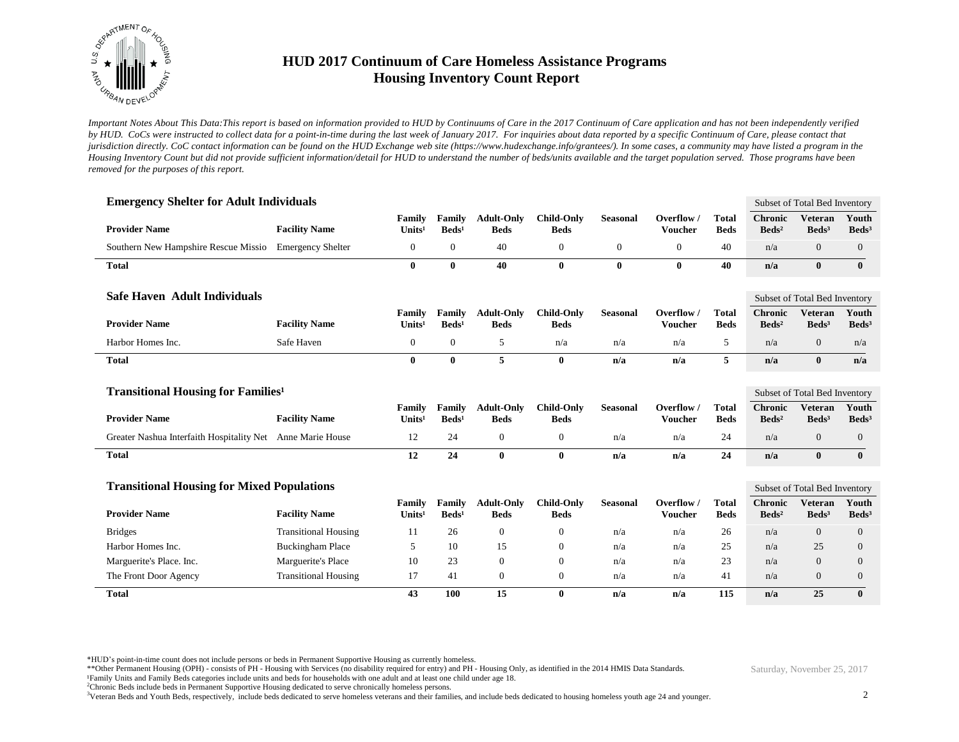

*Important Notes About This Data:This report is based on information provided to HUD by Continuums of Care in the 2017 Continuum of Care application and has not been independently verified by HUD. CoCs were instructed to collect data for a point-in-time during the last week of January 2017. For inquiries about data reported by a specific Continuum of Care, please contact that jurisdiction directly. CoC contact information can be found on the HUD Exchange web site (https://www.hudexchange.info/grantees/). In some cases, a community may have listed a program in the Housing Inventory Count but did not provide sufficient information/detail for HUD to understand the number of beds/units available and the target population served. Those programs have been removed for the purposes of this report.*

| <b>Emergency Shelter for Adult Individuals</b>             |                             |                              |                             |                                  |                                  |                  |                              |                               |                                   | Subset of Total Bed Inventory       |                            |
|------------------------------------------------------------|-----------------------------|------------------------------|-----------------------------|----------------------------------|----------------------------------|------------------|------------------------------|-------------------------------|-----------------------------------|-------------------------------------|----------------------------|
| <b>Provider Name</b>                                       | <b>Facility Name</b>        | Family<br>Units <sup>1</sup> | Family<br>$\text{Beds}^1$   | <b>Adult-Only</b><br><b>Beds</b> | <b>Child-Only</b><br><b>Beds</b> | <b>Seasonal</b>  | Overflow /<br><b>Voucher</b> | <b>Total</b><br><b>Beds</b>   | <b>Chronic</b><br>$\text{Beds}^2$ | <b>Veteran</b><br>Beds <sup>3</sup> | Youth<br>Beds <sup>3</sup> |
| Southern New Hampshire Rescue Missio                       | <b>Emergency Shelter</b>    | $\mathbf{0}$                 | $\boldsymbol{0}$            | 40                               | $\mathbf{0}$                     | $\boldsymbol{0}$ | $\mathbf{0}$                 | 40                            | n/a                               | $\mathbf{0}$                        | $\mathbf{0}$               |
| <b>Total</b>                                               |                             | $\mathbf{0}$                 | $\bf{0}$                    | 40                               | $\bf{0}$                         | $\bf{0}$         | $\mathbf{0}$                 | 40                            | n/a                               | $\mathbf{0}$                        | $\mathbf{0}$               |
| <b>Safe Haven Adult Individuals</b>                        |                             |                              |                             |                                  |                                  |                  |                              |                               | Subset of Total Bed Inventory     |                                     |                            |
| <b>Provider Name</b>                                       | <b>Facility Name</b>        | Family<br>Units <sup>1</sup> | Family<br>Beds <sup>1</sup> | <b>Adult-Only</b><br><b>Beds</b> | <b>Child-Only</b><br><b>Beds</b> | <b>Seasonal</b>  | Overflow<br><b>Voucher</b>   | <b>Total</b><br><b>Beds</b>   | <b>Chronic</b><br>$\text{Beds}^2$ | <b>Veteran</b><br>Beds <sup>3</sup> | Youth<br>Beds <sup>3</sup> |
| Harbor Homes Inc.                                          | Safe Haven                  | $\mathbf{0}$                 | $\overline{0}$              | 5                                | n/a                              | n/a              | n/a                          | 5                             | n/a                               | $\mathbf{0}$                        | n/a                        |
| <b>Total</b>                                               |                             | $\bf{0}$                     | $\bf{0}$                    | 5                                | $\bf{0}$                         | n/a              | n/a                          | 5                             | n/a                               | $\mathbf{0}$                        | n/a                        |
| <b>Transitional Housing for Families<sup>1</sup></b>       |                             |                              |                             |                                  |                                  |                  |                              | Subset of Total Bed Inventory |                                   |                                     |                            |
| <b>Provider Name</b>                                       | <b>Facility Name</b>        | Family<br>Units <sup>1</sup> | Family<br>$\text{Beds}^1$   | <b>Adult-Only</b><br><b>Beds</b> | <b>Child-Only</b><br><b>Beds</b> | <b>Seasonal</b>  | Overflow /<br><b>Voucher</b> | <b>Total</b><br><b>Beds</b>   | <b>Chronic</b><br>$\text{Beds}^2$ | <b>Veteran</b><br>Beds <sup>3</sup> | Youth<br>Beds <sup>3</sup> |
| Greater Nashua Interfaith Hospitality Net Anne Marie House |                             | 12                           | 24                          | $\mathbf{0}$                     | $\boldsymbol{0}$                 | n/a              | n/a                          | 24                            | n/a                               | $\overline{0}$                      | $\mathbf{0}$               |
| <b>Total</b>                                               |                             | 12                           | 24                          | $\bf{0}$                         | $\bf{0}$                         | n/a              | n/a                          | 24                            | n/a                               | $\bf{0}$                            | $\bf{0}$                   |
| <b>Transitional Housing for Mixed Populations</b>          |                             |                              |                             |                                  |                                  |                  |                              |                               |                                   | Subset of Total Bed Inventory       |                            |
| <b>Provider Name</b>                                       | <b>Facility Name</b>        | Family<br>Units <sup>1</sup> | Family<br>$\text{Beds}^1$   | <b>Adult-Only</b><br><b>Beds</b> | <b>Child-Only</b><br><b>Beds</b> | <b>Seasonal</b>  | Overflow /<br><b>Voucher</b> | <b>Total</b><br><b>Beds</b>   | <b>Chronic</b><br>$\text{Beds}^2$ | <b>Veteran</b><br>Beds <sup>3</sup> | Youth<br>Beds <sup>3</sup> |
| <b>Bridges</b>                                             | <b>Transitional Housing</b> | 11                           | 26                          | $\theta$                         | $\mathbf{0}$                     | n/a              | n/a                          | 26                            | n/a                               | $\overline{0}$                      | $\mathbf{0}$               |
| Harbor Homes Inc.                                          | <b>Buckingham Place</b>     | 5                            | 10                          | 15                               | $\mathbf{0}$                     | n/a              | n/a                          | 25                            | n/a                               | 25                                  | $\overline{0}$             |
| Marguerite's Place. Inc.                                   | Marguerite's Place          | 10                           | 23                          | $\theta$                         | $\theta$                         | n/a              | n/a                          | 23                            | n/a                               | $\overline{0}$                      | $\overline{0}$             |
| The Front Door Agency                                      | <b>Transitional Housing</b> | 17                           | 41                          | $\mathbf{0}$                     | $\mathbf{0}$                     | n/a              | n/a                          | 41                            | n/a                               | $\overline{0}$                      | $\mathbf{0}$               |
| <b>Total</b>                                               |                             | 43                           | 100                         | 15                               | $\bf{0}$                         | n/a              | n/a                          | 115                           | n/a                               | 25                                  | $\bf{0}$                   |

\*HUD's point-in-time count does not include persons or beds in Permanent Supportive Housing as currently homeless.

\*\*Other Permanent Housing (OPH) - consists of PH - Housing with Services (no disability required for entry) and PH - Housing Only, as identified in the 2014 HMIS Data Standards.

¹Family Units and Family Beds categories include units and beds for households with one adult and at least one child under age 18.

<sup>2</sup>Chronic Beds include beds in Permanent Supportive Housing dedicated to serve chronically homeless persons.

<sup>3</sup>Veteran Beds and Youth Beds, respectively, include beds dedicated to serve homeless veterans and their families, and include beds dedicated to housing homeless youth age 24 and younger.

Saturday, November 25, 2017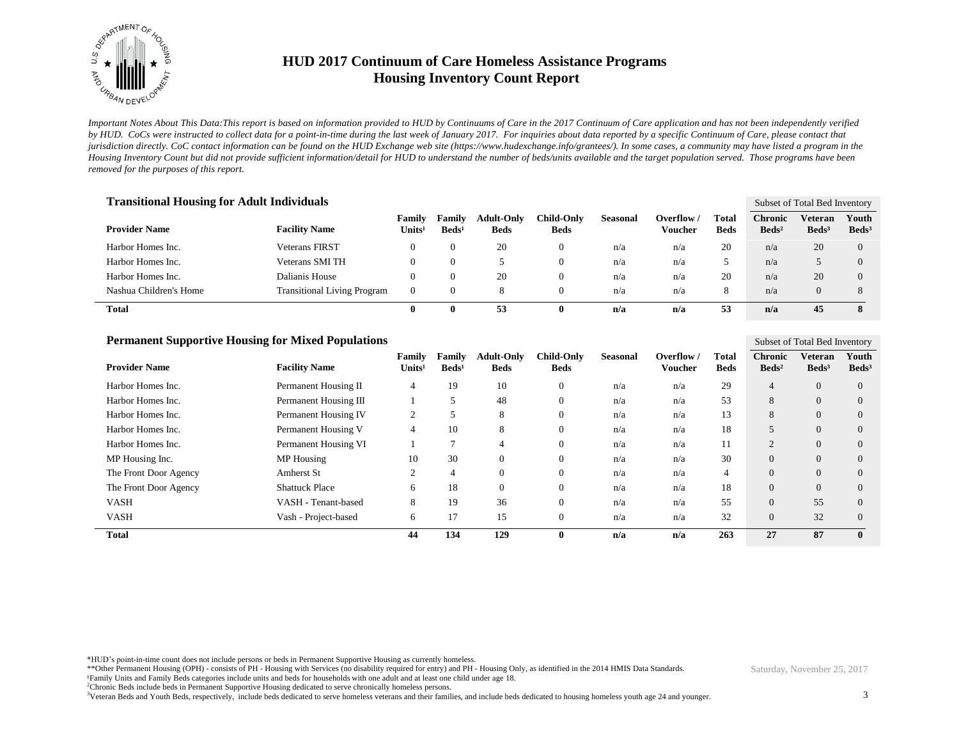

*Important Notes About This Data:This report is based on information provided to HUD by Continuums of Care in the 2017 Continuum of Care application and has not been independently verified by HUD. CoCs were instructed to collect data for a point-in-time during the last week of January 2017. For inquiries about data reported by a specific Continuum of Care, please contact that jurisdiction directly. CoC contact information can be found on the HUD Exchange web site (https://www.hudexchange.info/grantees/). In some cases, a community may have listed a program in the Housing Inventory Count but did not provide sufficient information/detail for HUD to understand the number of beds/units available and the target population served. Those programs have been removed for the purposes of this report.*

| <b>Transitional Housing for Adult Individuals</b> |                                    |                         |                             |                                  |                           |                 |                                |                             |                                   | Subset of Total Bed Inventory |                          |  |
|---------------------------------------------------|------------------------------------|-------------------------|-----------------------------|----------------------------------|---------------------------|-----------------|--------------------------------|-----------------------------|-----------------------------------|-------------------------------|--------------------------|--|
| <b>Provider Name</b>                              | <b>Facility Name</b>               | Family<br>$\bf Units^1$ | Family<br>Beds <sup>1</sup> | <b>Adult-Only</b><br><b>Beds</b> | Child-Only<br><b>Beds</b> | <b>Seasonal</b> | Overflow $\sqrt{ }$<br>Voucher | <b>Total</b><br><b>Beds</b> | <b>Chronic</b><br>$\text{Beds}^2$ | Veteran<br>Beds <sup>3</sup>  | Youth<br>$\text{Beds}^3$ |  |
| Harbor Homes Inc.                                 | <b>Veterans FIRST</b>              |                         |                             | 20                               | 0                         | n/a             | n/a                            | 20                          | n/a                               | 20                            | $\Omega$                 |  |
| Harbor Homes Inc.                                 | Veterans SMI TH                    | 0                       |                             |                                  | $\theta$                  | n/a             | n/a                            | ۰.<br>◡                     | n/a                               |                               | $\Omega$                 |  |
| Harbor Homes Inc.                                 | Dalianis House                     | $\theta$                |                             | 20                               | 0                         | n/a             | n/a                            | 20                          | n/a                               | 20                            | $\Omega$                 |  |
| Nashua Children's Home                            | <b>Transitional Living Program</b> | $\theta$                |                             | 8                                | 0                         | n/a             | n/a                            | 8                           | n/a                               | $\Omega$                      |                          |  |
| Total                                             |                                    | $^{\circ}$              | 0                           | 53                               | 0                         | n/a             | n/a                            | 53                          | n/a                               | 45                            |                          |  |

| <b>Permanent Supportive Housing for Mixed Populations</b> |                       |                              |                           |                                  |                                  |                 |                       |                |                                     | Subset of Total Bed Inventory       |                            |  |
|-----------------------------------------------------------|-----------------------|------------------------------|---------------------------|----------------------------------|----------------------------------|-----------------|-----------------------|----------------|-------------------------------------|-------------------------------------|----------------------------|--|
| <b>Provider Name</b>                                      | <b>Facility Name</b>  | Family<br>Units <sup>1</sup> | Family<br>$\text{Beds}^1$ | <b>Adult-Only</b><br><b>Beds</b> | <b>Child-Only</b><br><b>Beds</b> | <b>Seasonal</b> | Overflow /<br>Voucher | Total<br>Beds  | <b>Chronic</b><br>Beds <sup>2</sup> | <b>Veteran</b><br>Beds <sup>3</sup> | Youth<br>Beds <sup>3</sup> |  |
| Harbor Homes Inc.                                         | Permanent Housing II  | 4                            | 19                        | 10                               | $\mathbf{0}$                     | n/a             | n/a                   | 29             | $\overline{4}$                      | $\overline{0}$                      | $\Omega$                   |  |
| Harbor Homes Inc.                                         | Permanent Housing III |                              |                           | 48                               | $\mathbf{0}$                     | n/a             | n/a                   | 53             | 8                                   | $\overline{0}$                      | $\Omega$                   |  |
| Harbor Homes Inc.                                         | Permanent Housing IV  | 2                            |                           | 8                                | $\mathbf{0}$                     | n/a             | n/a                   | 13             | 8                                   | $\overline{0}$                      | $\overline{0}$             |  |
| Harbor Homes Inc.                                         | Permanent Housing V   | 4                            | 10                        | 8                                | $\mathbf{0}$                     | n/a             | n/a                   | 18             | 5                                   | $\overline{0}$                      | $\overline{0}$             |  |
| Harbor Homes Inc.                                         | Permanent Housing VI  |                              |                           | 4                                | $\mathbf{0}$                     | n/a             | n/a                   | 11             | $\overline{2}$                      | $\theta$                            | $\overline{0}$             |  |
| MP Housing Inc.                                           | MP Housing            | 10                           | 30                        | $\Omega$                         | $\mathbf{0}$                     | n/a             | n/a                   | 30             | $\Omega$                            | $\overline{0}$                      | $\Omega$                   |  |
| The Front Door Agency                                     | <b>Amherst St</b>     | 2                            | 4                         | $\overline{0}$                   | $\mathbf{0}$                     | n/a             | n/a                   | $\overline{4}$ | $\Omega$                            | $\overline{0}$                      | $\Omega$                   |  |
| The Front Door Agency                                     | <b>Shattuck Place</b> | 6                            | 18                        | $\Omega$                         | $\mathbf{0}$                     | n/a             | n/a                   | 18             | $\Omega$                            | $\overline{0}$                      | $\overline{0}$             |  |
| <b>VASH</b>                                               | VASH - Tenant-based   | 8                            | 19                        | 36                               | $\mathbf{0}$                     | n/a             | n/a                   | 55             | $\Omega$                            | 55                                  | $\Omega$                   |  |
| <b>VASH</b>                                               | Vash - Project-based  | 6                            | 17                        | 15                               | $\mathbf{0}$                     | n/a             | n/a                   | 32             | $\Omega$                            | 32                                  | $\Omega$                   |  |
| <b>Total</b>                                              |                       | 44                           | 134                       | 129                              | $\mathbf{0}$                     | n/a             | n/a                   | 263            | 27                                  | 87                                  | $\mathbf{0}$               |  |

\*HUD's point-in-time count does not include persons or beds in Permanent Supportive Housing as currently homeless.

\*\*Other Permanent Housing (OPH) - consists of PH - Housing with Services (no disability required for entry) and PH - Housing Only, as identified in the 2014 HMIS Data Standards.

¹Family Units and Family Beds categories include units and beds for households with one adult and at least one child under age 18.

<sup>2</sup>Chronic Beds include beds in Permanent Supportive Housing dedicated to serve chronically homeless persons.

<sup>3</sup>Veteran Beds and Youth Beds, respectively, include beds dedicated to serve homeless veterans and their families, and include beds dedicated to housing homeless youth age 24 and younger.

Saturday, November 25, 2017